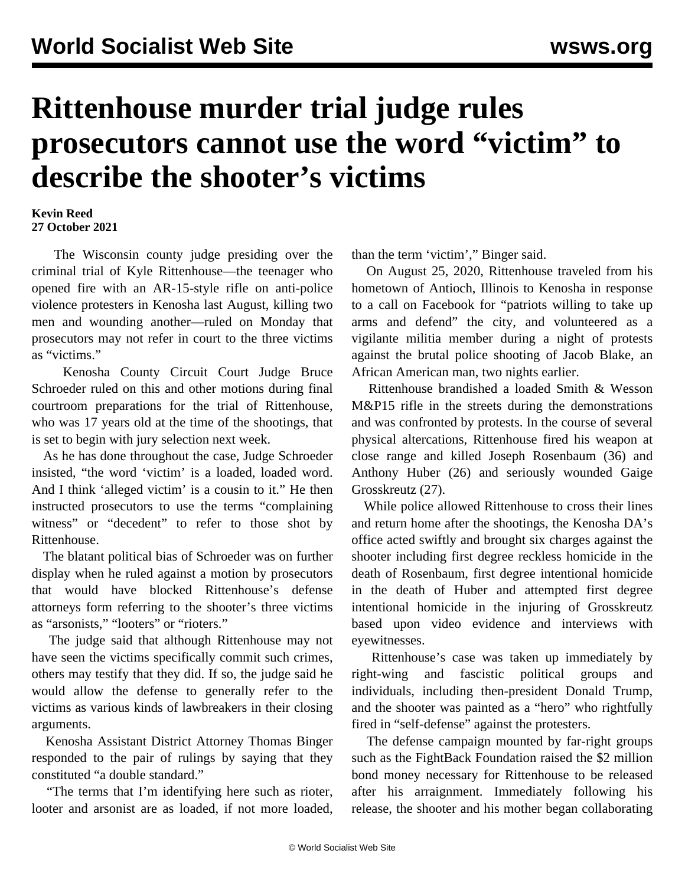## **Rittenhouse murder trial judge rules prosecutors cannot use the word "victim" to describe the shooter's victims**

## **Kevin Reed 27 October 2021**

 The Wisconsin county judge presiding over the criminal trial of Kyle Rittenhouse—the teenager who opened fire with an AR-15-style rifle on anti-police violence protesters in Kenosha last August, killing two men and wounding another—ruled on Monday that prosecutors may not refer in court to the three victims as "victims."

 Kenosha County Circuit Court Judge Bruce Schroeder ruled on this and other motions during final courtroom preparations for the trial of Rittenhouse, who was 17 years old at the time of the shootings, that is set to begin with jury selection next week.

 As he has done throughout the case, Judge Schroeder insisted, "the word 'victim' is a loaded, loaded word. And I think 'alleged victim' is a cousin to it." He then instructed prosecutors to use the terms "complaining witness" or "decedent" to refer to those shot by Rittenhouse.

 The blatant political bias of Schroeder was on further display when he ruled against a motion by prosecutors that would have blocked Rittenhouse's defense attorneys form referring to the shooter's three victims as "arsonists," "looters" or "rioters."

 The judge said that although Rittenhouse may not have seen the victims specifically commit such crimes, others may testify that they did. If so, the judge said he would allow the defense to generally refer to the victims as various kinds of lawbreakers in their closing arguments.

 Kenosha Assistant District Attorney Thomas Binger responded to the pair of rulings by saying that they constituted "a double standard."

 "The terms that I'm identifying here such as rioter, looter and arsonist are as loaded, if not more loaded,

than the term 'victim'," Binger said.

 On August 25, 2020, Rittenhouse traveled from his hometown of Antioch, Illinois to Kenosha in response to a call on Facebook for "patriots willing to take up arms and defend" the city, and volunteered as a vigilante militia member during a night of protests against the brutal police shooting of Jacob Blake, an African American man, two nights earlier.

 Rittenhouse brandished a loaded Smith & Wesson M&P15 rifle in the streets during the demonstrations and was confronted by protests. In the course of several physical altercations, Rittenhouse fired his weapon at close range and killed Joseph Rosenbaum (36) and Anthony Huber (26) and seriously wounded Gaige Grosskreutz (27).

 While police allowed Rittenhouse to cross their lines and return home after the shootings, the Kenosha DA's office acted swiftly and brought six charges against the shooter including first degree reckless homicide in the death of Rosenbaum, first degree intentional homicide in the death of Huber and attempted first degree intentional homicide in the injuring of Grosskreutz based upon video evidence and interviews with eyewitnesses.

 Rittenhouse's case was taken up immediately by right-wing and fascistic political groups and individuals, including then-president Donald Trump, and the shooter was painted as a "hero" who rightfully fired in "self-defense" against the protesters.

 The defense campaign mounted by far-right groups such as the FightBack Foundation raised the \$2 million bond money necessary for Rittenhouse to be released after his arraignment. Immediately following his release, the shooter and his mother began collaborating